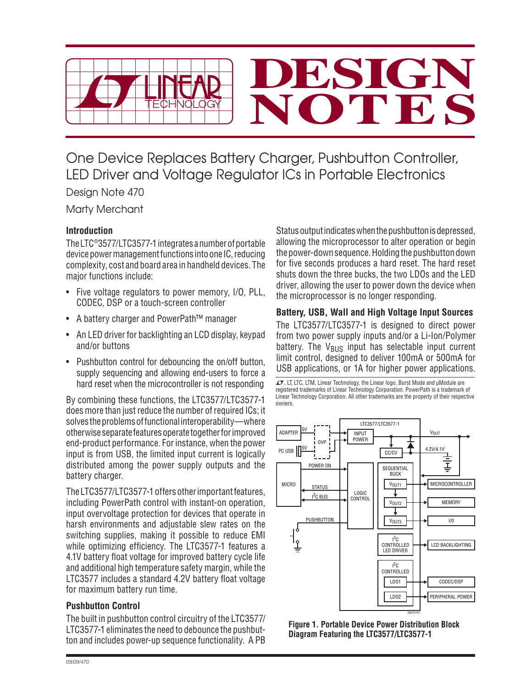

One Device Replaces Battery Charger, Pushbutton Controller, LED Driver and Voltage Regulator ICs in Portable Electronics Design Note 470

Marty Merchant

### **Introduction**

The LTC®3577/LTC3577-1 integrates a number of portable device power management functions into one IC, reducing complexity, cost and board area in handheld devices. The major functions include:

- Five voltage regulators to power memory, I/O, PLL, CODEC, DSP or a touch-screen controller
- A battery charger and PowerPath™ manager
- An LED driver for backlighting an LCD display, keypad and/or buttons
- Pushbutton control for debouncing the on/off button, supply sequencing and allowing end-users to force a hard reset when the microcontroller is not responding

By combining these functions, the LTC3577/LTC3577-1 does more than just reduce the number of required ICs; it solves the problems of functional interoperability—where otherwise separate features operate together for improved end-product performance. For instance, when the power input is from USB, the limited input current is logically distributed among the power supply outputs and the battery charger.

The LTC3577/LTC3577-1 offers other important features, including PowerPath control with instant-on operation, input overvoltage protection for devices that operate in harsh environments and adjustable slew rates on the switching supplies, making it possible to reduce EMI while optimizing efficiency. The LTC3577-1 features a 4.1V battery float voltage for improved battery cycle life and additional high temperature safety margin, while the LTC3577 includes a standard 4.2V battery float voltage for maximum battery run time.

## **Pushbutton Control**

The built in pushbutton control circuitry of the LTC3577/ LTC3577-1 eliminates the need to debounce the pushbutton and includes power-up sequence functionality. A PB

Status output indicates when the pushbutton is depressed, allowing the microprocessor to alter operation or begin the power-down sequence. Holding the pushbutton down for five seconds produces a hard reset. The hard reset shuts down the three bucks, the two LDOs and the LED driver, allowing the user to power down the device when the microprocessor is no longer responding.

### **Battery, USB, Wall and High Voltage Input Sources**

The LTC3577/LTC3577-1 is designed to direct power from two power supply inputs and/or a Li-Ion/Polymer battery. The  $V_{\text{BUS}}$  input has selectable input current limit control, designed to deliver 100mA or 500mA for USB applications, or 1A for higher power applications.

 $I$ , LT, LTC, LTM, Linear Technology, the Linear logo, Burst Mode and μModule are registered trademarks of Linear Technology Corporation. PowerPath is a trademark of Linear Technology Corporation. All other trademarks are the property of their respective owners.



**Figure 1. Portable Device Power Distribution Block Diagram Featuring the LTC3577/LTC3577-1**